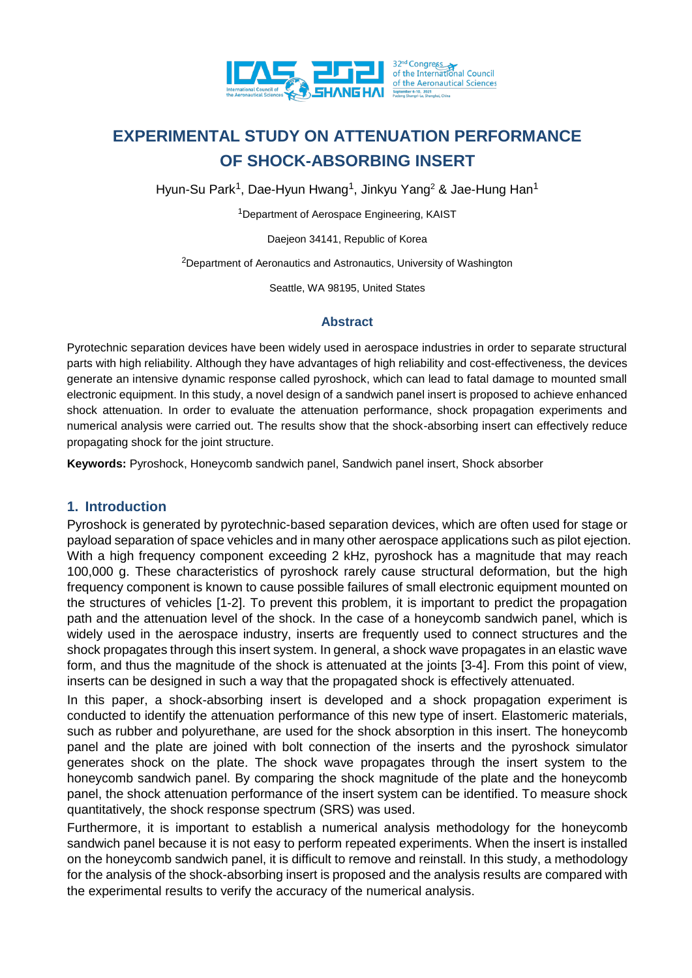

Hyun-Su Park<sup>1</sup>, Dae-Hyun Hwang<sup>1</sup>, Jinkyu Yang<sup>2</sup> & Jae-Hung Han<sup>1</sup>

<sup>1</sup>Department of Aerospace Engineering, KAIST

Daejeon 34141, Republic of Korea

<sup>2</sup>Department of Aeronautics and Astronautics, University of Washington

Seattle, WA 98195, United States

#### **Abstract**

Pyrotechnic separation devices have been widely used in aerospace industries in order to separate structural parts with high reliability. Although they have advantages of high reliability and cost-effectiveness, the devices generate an intensive dynamic response called pyroshock, which can lead to fatal damage to mounted small electronic equipment. In this study, a novel design of a sandwich panel insert is proposed to achieve enhanced shock attenuation. In order to evaluate the attenuation performance, shock propagation experiments and numerical analysis were carried out. The results show that the shock-absorbing insert can effectively reduce propagating shock for the joint structure.

**Keywords:** Pyroshock, Honeycomb sandwich panel, Sandwich panel insert, Shock absorber

## **1. Introduction**

Pyroshock is generated by pyrotechnic-based separation devices, which are often used for stage or payload separation of space vehicles and in many other aerospace applications such as pilot ejection. With a high frequency component exceeding 2 kHz, pyroshock has a magnitude that may reach 100,000 g. These characteristics of pyroshock rarely cause structural deformation, but the high frequency component is known to cause possible failures of small electronic equipment mounted on the structures of vehicles [1-2]. To prevent this problem, it is important to predict the propagation path and the attenuation level of the shock. In the case of a honeycomb sandwich panel, which is widely used in the aerospace industry, inserts are frequently used to connect structures and the shock propagates through this insert system. In general, a shock wave propagates in an elastic wave form, and thus the magnitude of the shock is attenuated at the joints [3-4]. From this point of view, inserts can be designed in such a way that the propagated shock is effectively attenuated.

In this paper, a shock-absorbing insert is developed and a shock propagation experiment is conducted to identify the attenuation performance of this new type of insert. Elastomeric materials, such as rubber and polyurethane, are used for the shock absorption in this insert. The honeycomb panel and the plate are joined with bolt connection of the inserts and the pyroshock simulator generates shock on the plate. The shock wave propagates through the insert system to the honeycomb sandwich panel. By comparing the shock magnitude of the plate and the honeycomb panel, the shock attenuation performance of the insert system can be identified. To measure shock quantitatively, the shock response spectrum (SRS) was used.

Furthermore, it is important to establish a numerical analysis methodology for the honeycomb sandwich panel because it is not easy to perform repeated experiments. When the insert is installed on the honeycomb sandwich panel, it is difficult to remove and reinstall. In this study, a methodology for the analysis of the shock-absorbing insert is proposed and the analysis results are compared with the experimental results to verify the accuracy of the numerical analysis.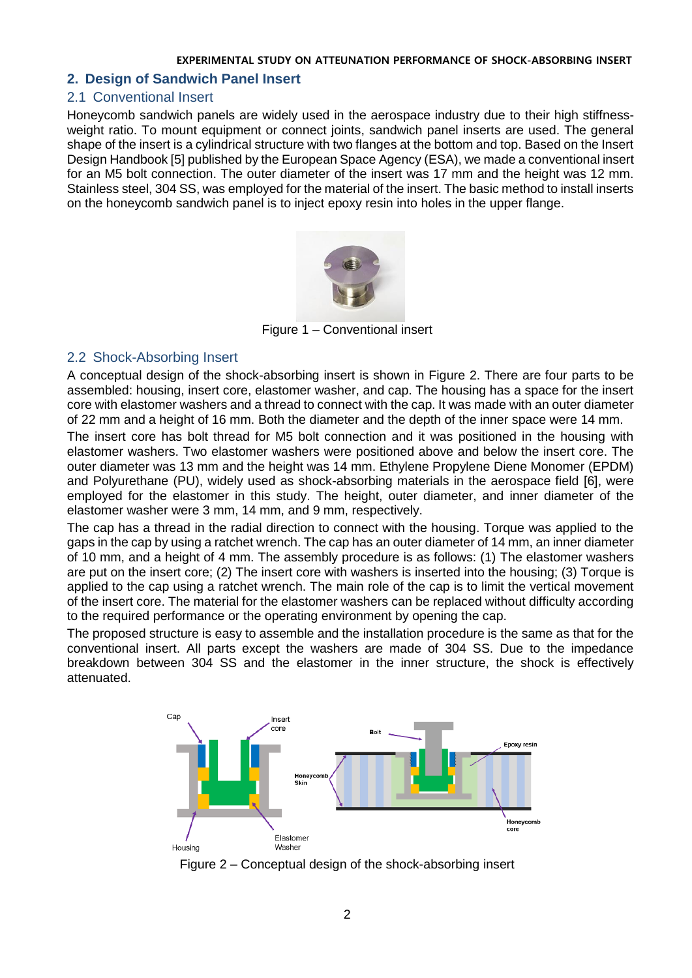## **2. Design of Sandwich Panel Insert**

#### 2.1 Conventional Insert

Honeycomb sandwich panels are widely used in the aerospace industry due to their high stiffnessweight ratio. To mount equipment or connect joints, sandwich panel inserts are used. The general shape of the insert is a cylindrical structure with two flanges at the bottom and top. Based on the Insert Design Handbook [5] published by the European Space Agency (ESA), we made a conventional insert for an M5 bolt connection. The outer diameter of the insert was 17 mm and the height was 12 mm. Stainless steel, 304 SS, was employed for the material of the insert. The basic method to install inserts on the honeycomb sandwich panel is to inject epoxy resin into holes in the upper flange.



Figure 1 – Conventional insert

## 2.2 Shock-Absorbing Insert

A conceptual design of the shock-absorbing insert is shown in [Figure 2.](#page-1-0) There are four parts to be assembled: housing, insert core, elastomer washer, and cap. The housing has a space for the insert core with elastomer washers and a thread to connect with the cap. It was made with an outer diameter of 22 mm and a height of 16 mm. Both the diameter and the depth of the inner space were 14 mm.

The insert core has bolt thread for M5 bolt connection and it was positioned in the housing with elastomer washers. Two elastomer washers were positioned above and below the insert core. The outer diameter was 13 mm and the height was 14 mm. Ethylene Propylene Diene Monomer (EPDM) and Polyurethane (PU), widely used as shock-absorbing materials in the aerospace field [6], were employed for the elastomer in this study. The height, outer diameter, and inner diameter of the elastomer washer were 3 mm, 14 mm, and 9 mm, respectively.

The cap has a thread in the radial direction to connect with the housing. Torque was applied to the gaps in the cap by using a ratchet wrench. The cap has an outer diameter of 14 mm, an inner diameter of 10 mm, and a height of 4 mm. The assembly procedure is as follows: (1) The elastomer washers are put on the insert core; (2) The insert core with washers is inserted into the housing; (3) Torque is applied to the cap using a ratchet wrench. The main role of the cap is to limit the vertical movement of the insert core. The material for the elastomer washers can be replaced without difficulty according to the required performance or the operating environment by opening the cap.

The proposed structure is easy to assemble and the installation procedure is the same as that for the conventional insert. All parts except the washers are made of 304 SS. Due to the impedance breakdown between 304 SS and the elastomer in the inner structure, the shock is effectively attenuated.



<span id="page-1-0"></span>Figure 2 – Conceptual design of the shock-absorbing insert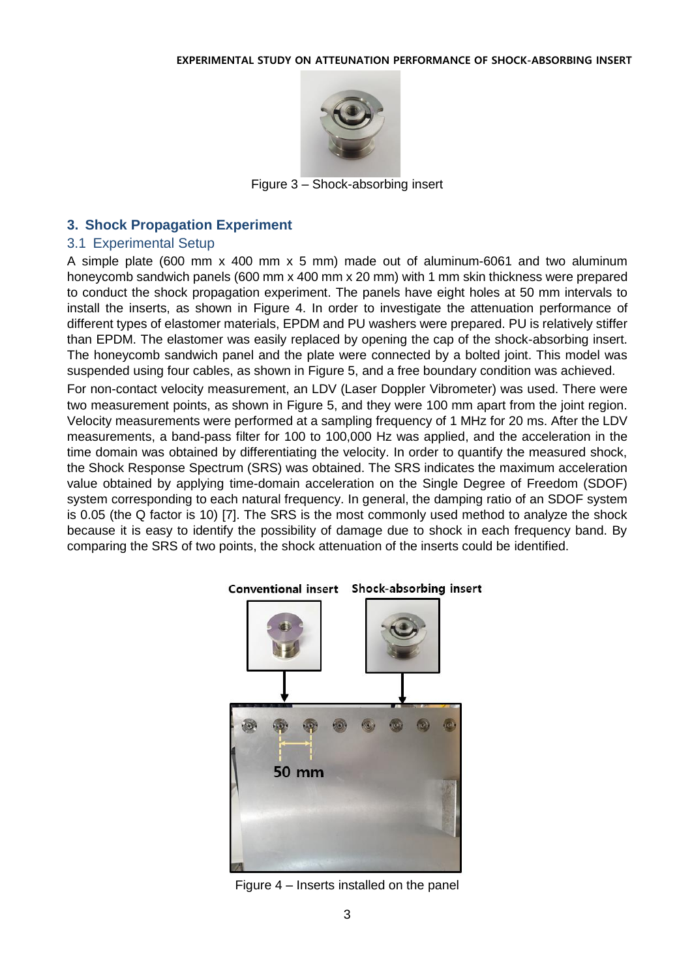

Figure 3 – Shock-absorbing insert

# **3. Shock Propagation Experiment**

# 3.1 Experimental Setup

A simple plate (600 mm x 400 mm x 5 mm) made out of aluminum-6061 and two aluminum honeycomb sandwich panels (600 mm x 400 mm x 20 mm) with 1 mm skin thickness were prepared to conduct the shock propagation experiment. The panels have eight holes at 50 mm intervals to install the inserts, as shown in [Figure 4.](#page-2-0) In order to investigate the attenuation performance of different types of elastomer materials, EPDM and PU washers were prepared. PU is relatively stiffer than EPDM. The elastomer was easily replaced by opening the cap of the shock-absorbing insert. The honeycomb sandwich panel and the plate were connected by a bolted joint. This model was suspended using four cables, as shown in [Figure 5,](#page-3-0) and a free boundary condition was achieved.

For non-contact velocity measurement, an LDV (Laser Doppler Vibrometer) was used. There were two measurement points, as shown in [Figure 5,](#page-3-0) and they were 100 mm apart from the joint region. Velocity measurements were performed at a sampling frequency of 1 MHz for 20 ms. After the LDV measurements, a band-pass filter for 100 to 100,000 Hz was applied, and the acceleration in the time domain was obtained by differentiating the velocity. In order to quantify the measured shock, the Shock Response Spectrum (SRS) was obtained. The SRS indicates the maximum acceleration value obtained by applying time-domain acceleration on the Single Degree of Freedom (SDOF) system corresponding to each natural frequency. In general, the damping ratio of an SDOF system is 0.05 (the Q factor is 10) [7]. The SRS is the most commonly used method to analyze the shock because it is easy to identify the possibility of damage due to shock in each frequency band. By comparing the SRS of two points, the shock attenuation of the inserts could be identified.

<span id="page-2-0"></span>

Figure 4 – Inserts installed on the panel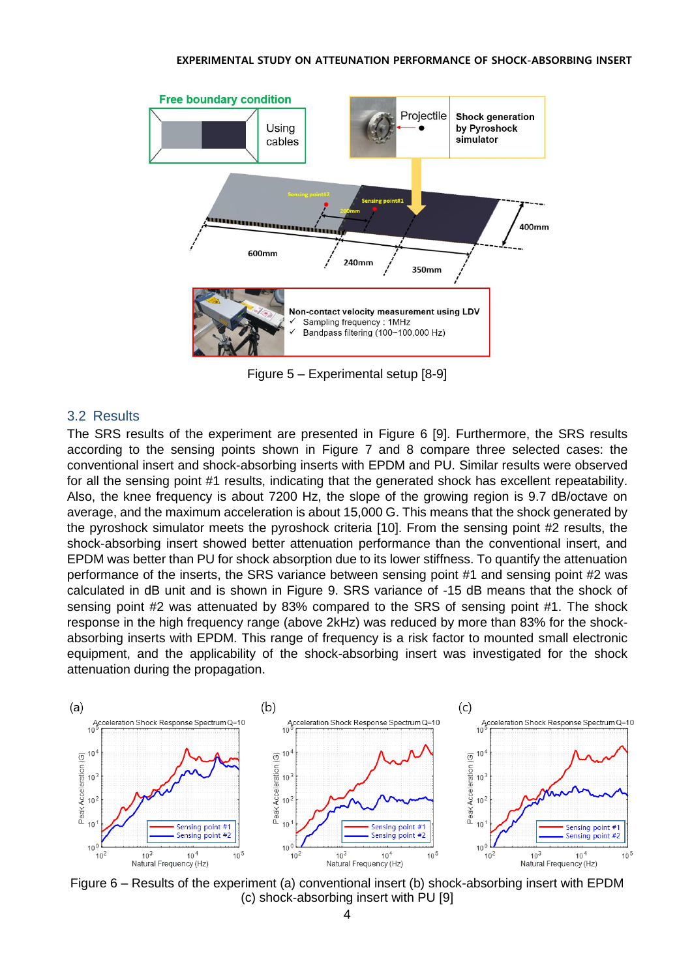

Figure 5 – Experimental setup [8-9]

#### <span id="page-3-0"></span>3.2 Results

The SRS results of the experiment are presented in [Figure 6](#page-3-1) [9]. Furthermore, the SRS results according to the sensing points shown in [Figure 7](#page-4-0) and 8 compare three selected cases: the conventional insert and shock-absorbing inserts with EPDM and PU. Similar results were observed for all the sensing point #1 results, indicating that the generated shock has excellent repeatability. Also, the knee frequency is about 7200 Hz, the slope of the growing region is 9.7 dB/octave on average, and the maximum acceleration is about 15,000 G. This means that the shock generated by the pyroshock simulator meets the pyroshock criteria [10]. From the sensing point #2 results, the shock-absorbing insert showed better attenuation performance than the conventional insert, and EPDM was better than PU for shock absorption due to its lower stiffness. To quantify the attenuation performance of the inserts, the SRS variance between sensing point #1 and sensing point #2 was calculated in dB unit and is shown in [Figure 9.](#page-5-0) SRS variance of -15 dB means that the shock of sensing point #2 was attenuated by 83% compared to the SRS of sensing point #1. The shock response in the high frequency range (above 2kHz) was reduced by more than 83% for the shockabsorbing inserts with EPDM. This range of frequency is a risk factor to mounted small electronic equipment, and the applicability of the shock-absorbing insert was investigated for the shock attenuation during the propagation.



<span id="page-3-1"></span>Figure 6 – Results of the experiment (a) conventional insert (b) shock-absorbing insert with EPDM (c) shock-absorbing insert with PU [9]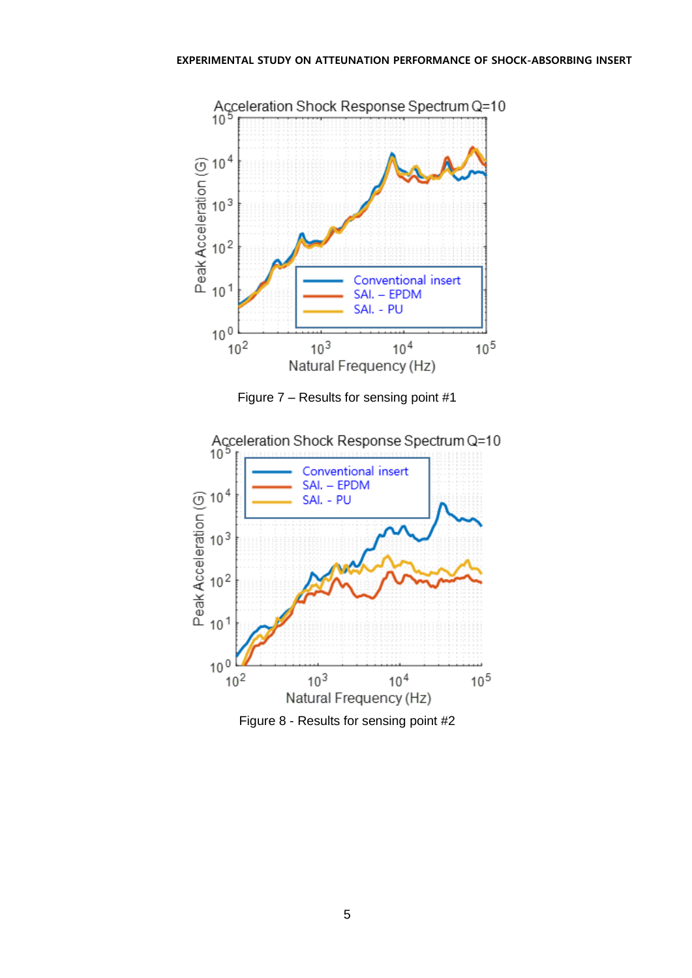



<span id="page-4-0"></span>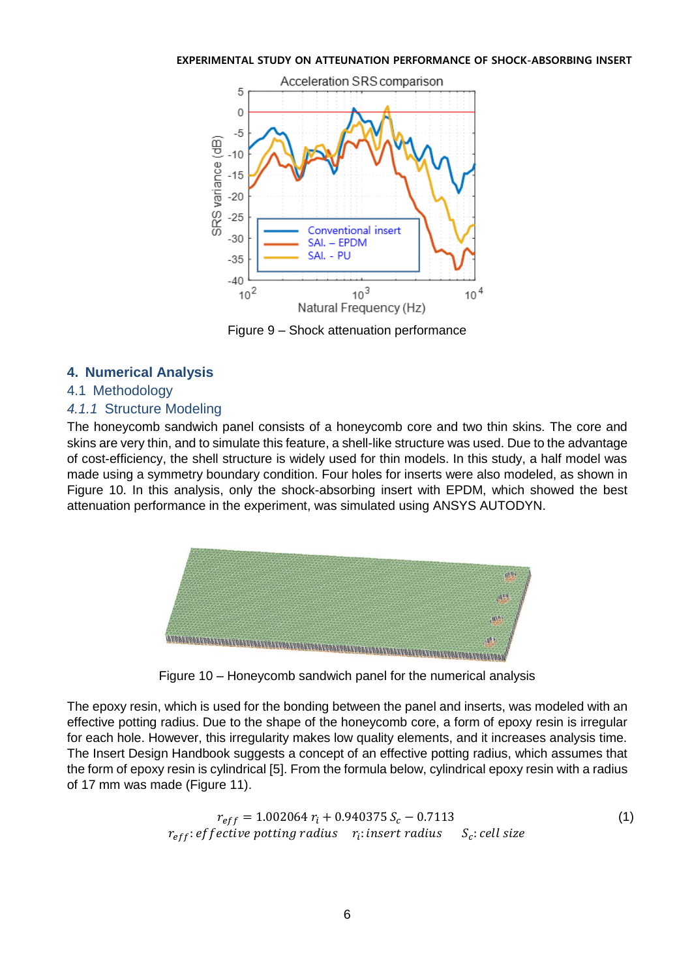

Figure 9 – Shock attenuation performance

# <span id="page-5-0"></span>**4. Numerical Analysis**

# 4.1 Methodology

# *4.1.1* Structure Modeling

The honeycomb sandwich panel consists of a honeycomb core and two thin skins. The core and skins are very thin, and to simulate this feature, a shell-like structure was used. Due to the advantage of cost-efficiency, the shell structure is widely used for thin models. In this study, a half model was made using a symmetry boundary condition. Four holes for inserts were also modeled, as shown in Figure 10. In this analysis, only the shock-absorbing insert with EPDM, which showed the best attenuation performance in the experiment, was simulated using ANSYS AUTODYN.



Figure 10 – Honeycomb sandwich panel for the numerical analysis

The epoxy resin, which is used for the bonding between the panel and inserts, was modeled with an effective potting radius. Due to the shape of the honeycomb core, a form of epoxy resin is irregular for each hole. However, this irregularity makes low quality elements, and it increases analysis time. The Insert Design Handbook suggests a concept of an effective potting radius, which assumes that the form of epoxy resin is cylindrical [5]. From the formula below, cylindrical epoxy resin with a radius of 17 mm was made [\(Figure 11\)](#page-6-0).

$$
r_{eff} = 1.002064 r_i + 0.940375 S_c - 0.7113
$$
  
\n
$$
r_{eff}: effective putting radius \t r_i: insert radius \t S_c: cell size
$$
 (1)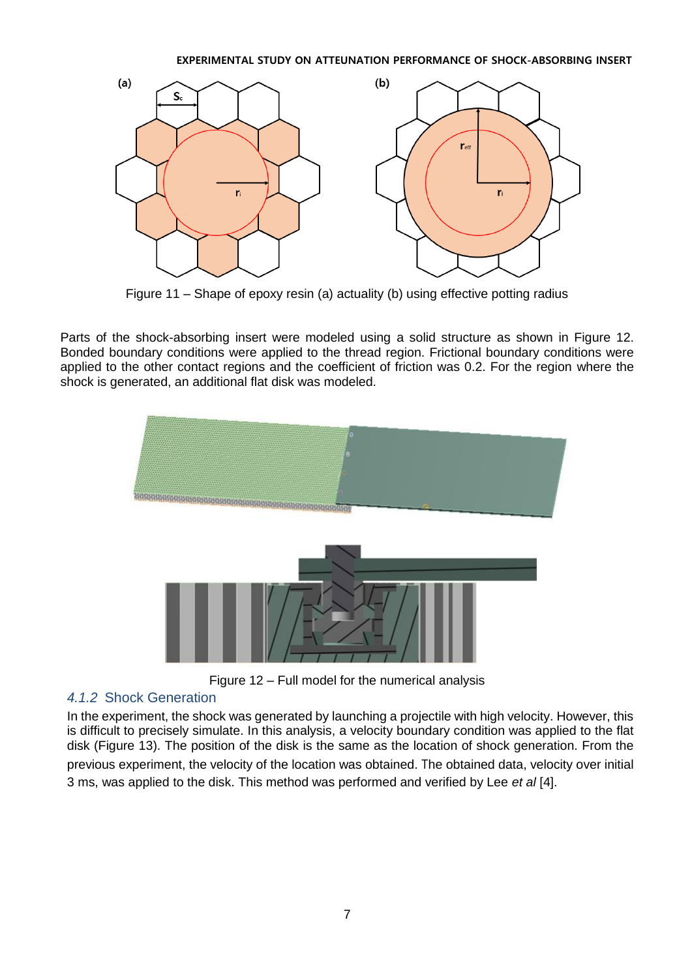

Figure 11 – Shape of epoxy resin (a) actuality (b) using effective potting radius

<span id="page-6-0"></span>Parts of the shock-absorbing insert were modeled using a solid structure as shown in [Figure 12](#page-6-1). Bonded boundary conditions were applied to the thread region. Frictional boundary conditions were applied to the other contact regions and the coefficient of friction was 0.2. For the region where the shock is generated, an additional flat disk was modeled.



Figure 12 – Full model for the numerical analysis

# <span id="page-6-1"></span>*4.1.2* Shock Generation

In the experiment, the shock was generated by launching a projectile with high velocity. However, this is difficult to precisely simulate. In this analysis, a velocity boundary condition was applied to the flat disk [\(Figure 13\)](#page-7-0). The position of the disk is the same as the location of shock generation. From the previous experiment, the velocity of the location was obtained. The obtained data, velocity over initial 3 ms, was applied to the disk. This method was performed and verified by Lee *et al* [4].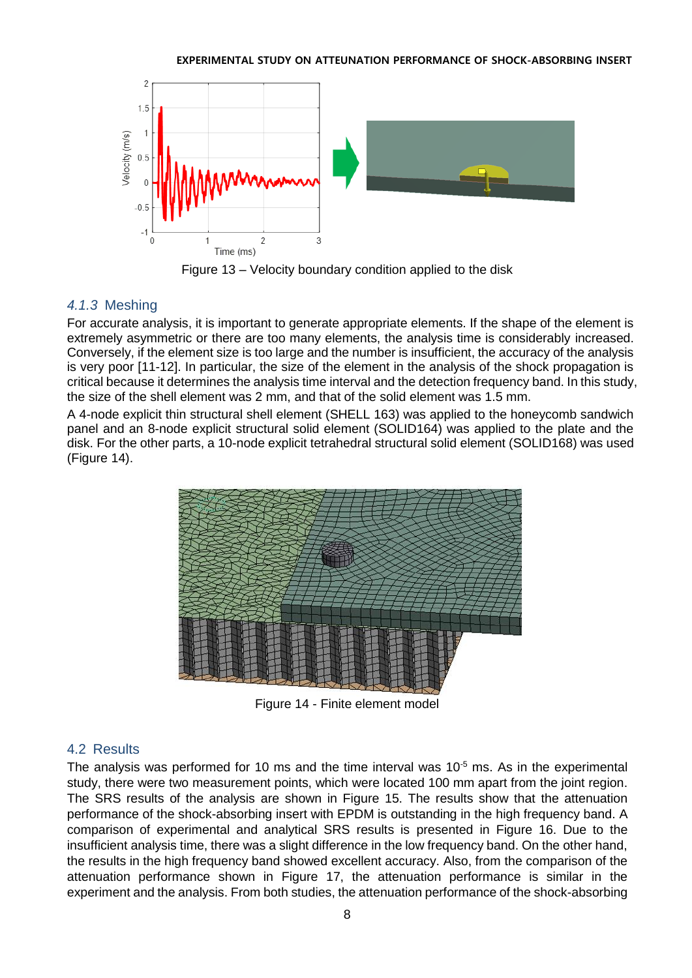

Figure 13 – Velocity boundary condition applied to the disk

# <span id="page-7-0"></span>*4.1.3* Meshing

For accurate analysis, it is important to generate appropriate elements. If the shape of the element is extremely asymmetric or there are too many elements, the analysis time is considerably increased. Conversely, if the element size is too large and the number is insufficient, the accuracy of the analysis is very poor [11-12]. In particular, the size of the element in the analysis of the shock propagation is critical because it determines the analysis time interval and the detection frequency band. In this study, the size of the shell element was 2 mm, and that of the solid element was 1.5 mm.

A 4-node explicit thin structural shell element (SHELL 163) was applied to the honeycomb sandwich panel and an 8-node explicit structural solid element (SOLID164) was applied to the plate and the disk. For the other parts, a 10-node explicit tetrahedral structural solid element (SOLID168) was used [\(Figure 14\)](#page-7-1).



Figure 14 - Finite element model

# <span id="page-7-1"></span>4.2 Results

The analysis was performed for 10 ms and the time interval was  $10^{-5}$  ms. As in the experimental study, there were two measurement points, which were located 100 mm apart from the joint region. The SRS results of the analysis are shown in [Figure 15](#page-8-0). The results show that the attenuation performance of the shock-absorbing insert with EPDM is outstanding in the high frequency band. A comparison of experimental and analytical SRS results is presented in [Figure 16](#page-8-1). Due to the insufficient analysis time, there was a slight difference in the low frequency band. On the other hand, the results in the high frequency band showed excellent accuracy. Also, from the comparison of the attenuation performance shown in [Figure 17](#page-9-0), the attenuation performance is similar in the experiment and the analysis. From both studies, the attenuation performance of the shock-absorbing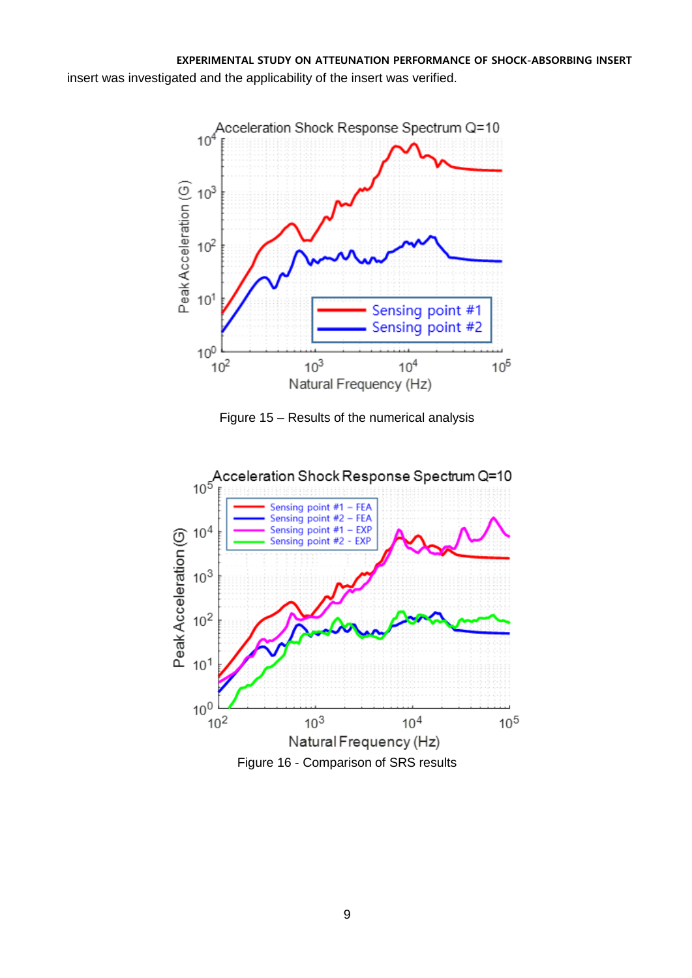

Figure 15 – Results of the numerical analysis

<span id="page-8-1"></span><span id="page-8-0"></span>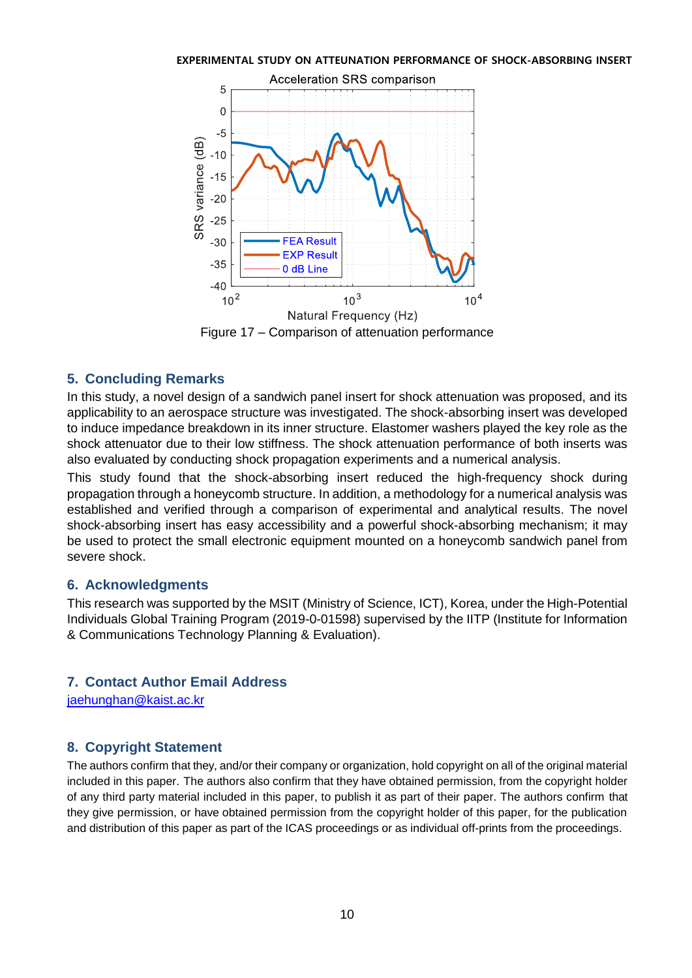

## <span id="page-9-0"></span>**5. Concluding Remarks**

In this study, a novel design of a sandwich panel insert for shock attenuation was proposed, and its applicability to an aerospace structure was investigated. The shock-absorbing insert was developed to induce impedance breakdown in its inner structure. Elastomer washers played the key role as the shock attenuator due to their low stiffness. The shock attenuation performance of both inserts was also evaluated by conducting shock propagation experiments and a numerical analysis.

This study found that the shock-absorbing insert reduced the high-frequency shock during propagation through a honeycomb structure. In addition, a methodology for a numerical analysis was established and verified through a comparison of experimental and analytical results. The novel shock-absorbing insert has easy accessibility and a powerful shock-absorbing mechanism; it may be used to protect the small electronic equipment mounted on a honeycomb sandwich panel from severe shock.

## **6. Acknowledgments**

This research was supported by the MSIT (Ministry of Science, ICT), Korea, under the High-Potential Individuals Global Training Program (2019-0-01598) supervised by the IITP (Institute for Information & Communications Technology Planning & Evaluation).

# **7. Contact Author Email Address**

[jaehunghan@kaist.ac.kr](mailto:jaehunghan@kaist.ac.kr)

# **8. Copyright Statement**

The authors confirm that they, and/or their company or organization, hold copyright on all of the original material included in this paper. The authors also confirm that they have obtained permission, from the copyright holder of any third party material included in this paper, to publish it as part of their paper. The authors confirm that they give permission, or have obtained permission from the copyright holder of this paper, for the publication and distribution of this paper as part of the ICAS proceedings or as individual off-prints from the proceedings.